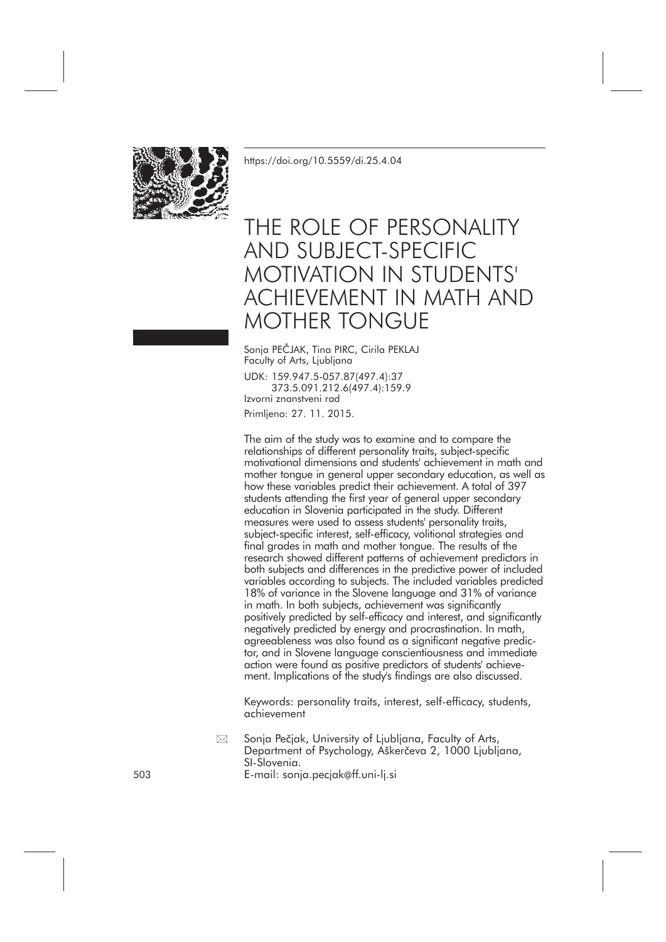

<https://doi.org/10.5559/di.25.4.04>

# THE ROLE OF PERSONALITY AND SUBJECT-SPECIFIC MOTIVATION IN STUDENTS' ACHIEVEMENT IN MATH AND MOTHER TONGUE

Sonja PEČJAK, Tina PIRC, Cirila PEKLAJ Faculty of Arts, Ljubljana UDK: 159.947.5-057.87(497.4):37 373.5.091.212.6(497.4):159.9 Izvorni znanstveni rad Primljeno: 27. 11. 2015.

The aim of the study was to examine and to compare the relationships of different personality traits, subject-specific motivational dimensions and students' achievement in math and mother tongue in general upper secondary education, as well as how these variables predict their achievement. A total of 397 students attending the first year of general upper secondary education in Slovenia participated in the study. Different measures were used to assess students' personality traits, subject-specific interest, self-efficacy, volitional strategies and final grades in math and mother tongue. The results of the research showed different patterns of achievement predictors in both subjects and differences in the predictive power of included variables according to subjects. The included variables predicted 18% of variance in the Slovene language and 31% of variance in math. In both subjects, achievement was significantly positively predicted by self-efficacy and interest, and significantly negatively predicted by energy and procrastination. In math, agreeableness was also found as a significant negative predictor, and in Slovene language conscientiousness and immediate action were found as positive predictors of students' achievement. Implications of the study's findings are also discussed.

Keywords: personality traits, interest, self-efficacy, students, achievement

Sonja Pečjak, University of Ljubljana, Faculty of Arts, Department of Psychology, Aškerčeva 2, 1000 Ljubljana, SI-Slovenia. 503 E-mail: sonja.pecjak@ff.uni-lj.si  $\boxtimes$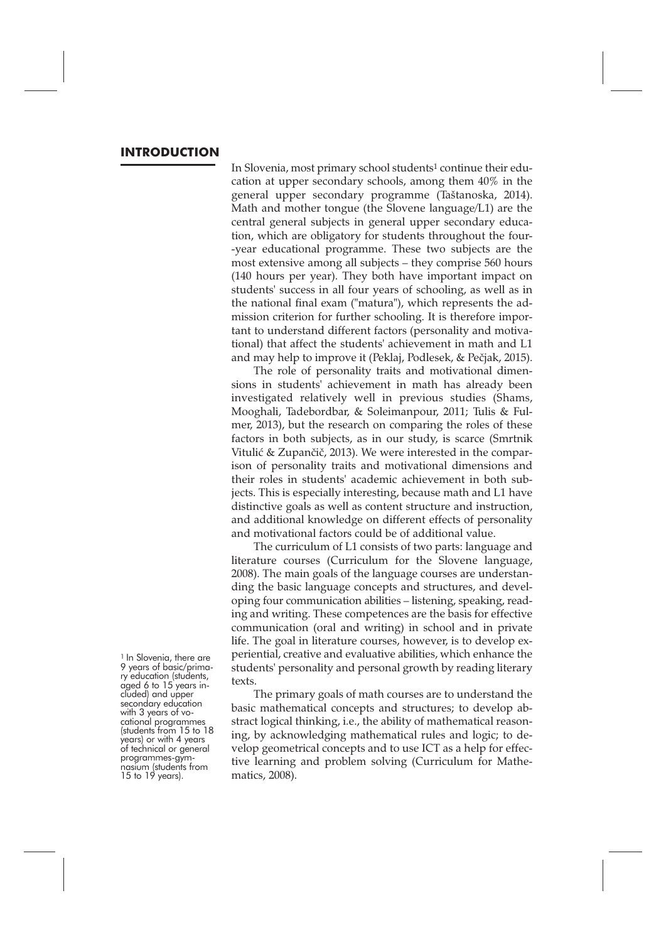#### **INTRODUCTION**

In Slovenia, most primary school students1 continue their education at upper secondary schools, among them 40% in the general upper secondary programme (Taštanoska, 2014). Math and mother tongue (the Slovene language/L1) are the central general subjects in general upper secondary education, which are obligatory for students throughout the four- -year educational programme. These two subjects are the most extensive among all subjects – they comprise 560 hours (140 hours per year). They both have important impact on students' success in all four years of schooling, as well as in the national final exam ("matura"), which represents the admission criterion for further schooling. It is therefore important to understand different factors (personality and motivational) that affect the students' achievement in math and L1 and may help to improve it (Peklaj, Podlesek, & Pečjak, 2015).

The role of personality traits and motivational dimensions in students' achievement in math has already been investigated relatively well in previous studies (Shams, Mooghali, Tadebordbar, & Soleimanpour, 2011; Tulis & Fulmer, 2013), but the research on comparing the roles of these factors in both subjects, as in our study, is scarce (Smrtnik Vitulić & Zupančič, 2013). We were interested in the comparison of personality traits and motivational dimensions and their roles in students' academic achievement in both subjects. This is especially interesting, because math and L1 have distinctive goals as well as content structure and instruction, and additional knowledge on different effects of personality and motivational factors could be of additional value.

The curriculum of L1 consists of two parts: language and literature courses (Curriculum for the Slovene language, 2008). The main goals of the language courses are understanding the basic language concepts and structures, and developing four communication abilities – listening, speaking, reading and writing. These competences are the basis for effective communication (oral and writing) in school and in private life. The goal in literature courses, however, is to develop experiential, creative and evaluative abilities, which enhance the students' personality and personal growth by reading literary texts.

The primary goals of math courses are to understand the basic mathematical concepts and structures; to develop abstract logical thinking, i.e., the ability of mathematical reasoning, by acknowledging mathematical rules and logic; to develop geometrical concepts and to use ICT as a help for effective learning and problem solving (Curriculum for Mathematics, 2008).

<sup>&</sup>lt;sup>1</sup> In Slovenia, there are 9 years of basic/prima-<br>ry education (students, aged 6 to 15 years in-<br>cluded) and upper<br>secondary education<br>with 3 years of vo-<br>cational programmes<br>(students from 15 to 18<br>years) or with 4 years of technical or general programmes-gym- nasium (students from <sup>15</sup> to <sup>19</sup> years).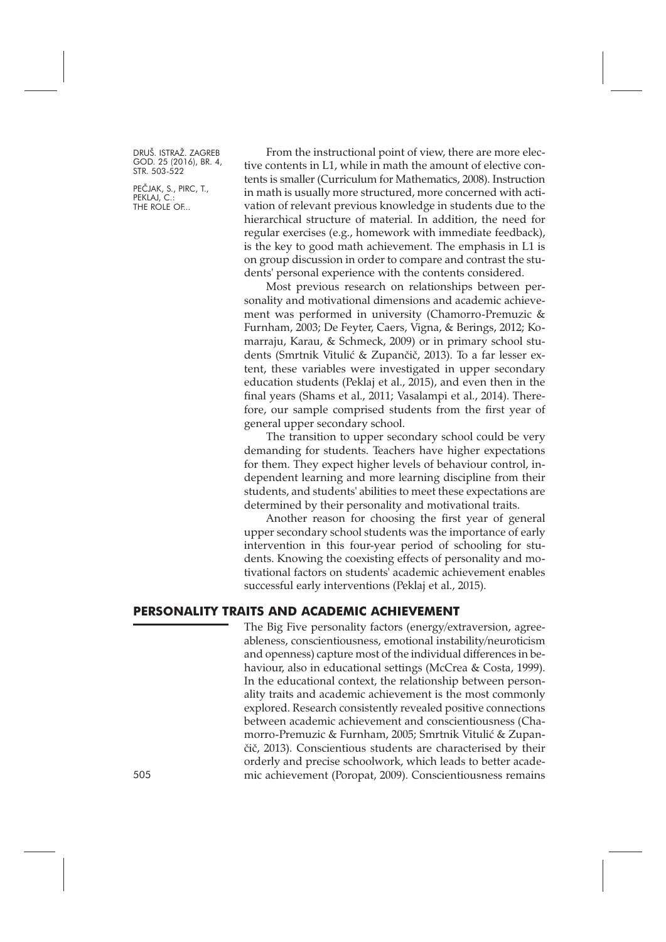PEČJAK, S., PIRC, T., PEKLAJ, C. THE ROLE OF...

From the instructional point of view, there are more elective contents in L1, while in math the amount of elective contents is smaller (Curriculum for Mathematics, 2008). Instruction in math is usually more structured, more concerned with activation of relevant previous knowledge in students due to the hierarchical structure of material. In addition, the need for regular exercises (e.g., homework with immediate feedback), is the key to good math achievement. The emphasis in L1 is on group discussion in order to compare and contrast the students' personal experience with the contents considered.

Most previous research on relationships between personality and motivational dimensions and academic achievement was performed in university (Chamorro-Premuzic & Furnham, 2003; De Feyter, Caers, Vigna, & Berings, 2012; Komarraju, Karau, & Schmeck, 2009) or in primary school students (Smrtnik Vitulić & Zupančič, 2013). To a far lesser extent, these variables were investigated in upper secondary education students (Peklaj et al., 2015), and even then in the final years (Shams et al., 2011; Vasalampi et al., 2014). Therefore, our sample comprised students from the first year of general upper secondary school.

The transition to upper secondary school could be very demanding for students. Teachers have higher expectations for them. They expect higher levels of behaviour control, independent learning and more learning discipline from their students, and students' abilities to meet these expectations are determined by their personality and motivational traits.

Another reason for choosing the first year of general upper secondary school students was the importance of early intervention in this four-year period of schooling for students. Knowing the coexisting effects of personality and motivational factors on students' academic achievement enables successful early interventions (Peklaj et al., 2015).

#### **PERSONALITY TRAITS AND ACADEMIC ACHIEVEMENT**

The Big Five personality factors (energy/extraversion, agreeableness, conscientiousness, emotional instability/neuroticism and openness) capture most of the individual differences in behaviour, also in educational settings (McCrea & Costa, 1999). In the educational context, the relationship between personality traits and academic achievement is the most commonly explored. Research consistently revealed positive connections between academic achievement and conscientiousness (Chamorro-Premuzic & Furnham, 2005; Smrtnik Vitulić & Zupančič, 2013). Conscientious students are characterised by their orderly and precise schoolwork, which leads to better acade-505 mic achievement (Poropat, 2009). Conscientiousness remains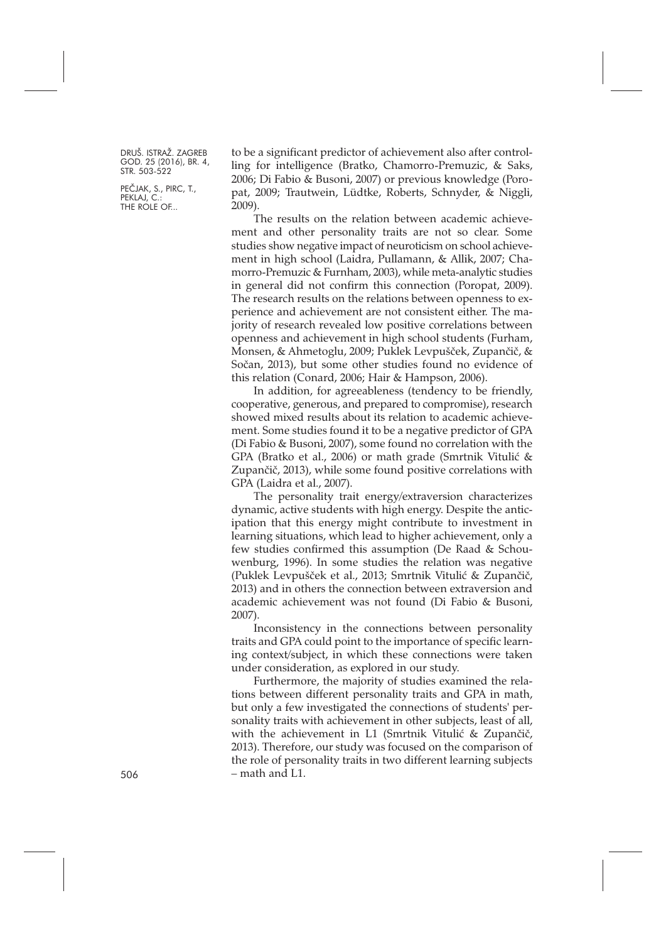PEČJAK, S., PIRC, T., PEKLAJ, C. THE ROLE OF...

to be a significant predictor of achievement also after controlling for intelligence (Bratko, Chamorro-Premuzic, & Saks, 2006; Di Fabio & Busoni, 2007) or previous knowledge (Poropat, 2009; Trautwein, Lüdtke, Roberts, Schnyder, & Niggli, 2009).

The results on the relation between academic achievement and other personality traits are not so clear. Some studies show negative impact of neuroticism on school achievement in high school (Laidra, Pullamann, & Allik, 2007; Chamorro-Premuzic & Furnham, 2003), while meta-analytic studies in general did not confirm this connection (Poropat, 2009). The research results on the relations between openness to experience and achievement are not consistent either. The majority of research revealed low positive correlations between openness and achievement in high school students (Furham, Monsen, & Ahmetoglu, 2009; Puklek Levpušček, Zupančič, & Sočan, 2013), but some other studies found no evidence of this relation (Conard, 2006; Hair & Hampson, 2006).

In addition, for agreeableness (tendency to be friendly, cooperative, generous, and prepared to compromise), research showed mixed results about its relation to academic achievement. Some studies found it to be a negative predictor of GPA (Di Fabio & Busoni, 2007), some found no correlation with the GPA (Bratko et al., 2006) or math grade (Smrtnik Vitulić & Zupančič, 2013), while some found positive correlations with GPA (Laidra et al., 2007).

The personality trait energy/extraversion characterizes dynamic, active students with high energy. Despite the anticipation that this energy might contribute to investment in learning situations, which lead to higher achievement, only a few studies confirmed this assumption (De Raad & Schouwenburg, 1996). In some studies the relation was negative (Puklek Levpušček et al., 2013; Smrtnik Vitulić & Zupančič, 2013) and in others the connection between extraversion and academic achievement was not found (Di Fabio & Busoni, 2007).

Inconsistency in the connections between personality traits and GPA could point to the importance of specific learning context/subject, in which these connections were taken under consideration, as explored in our study.

Furthermore, the majority of studies examined the relations between different personality traits and GPA in math, but only a few investigated the connections of students' personality traits with achievement in other subjects, least of all, with the achievement in L1 (Smrtnik Vitulić & Zupančič, 2013). Therefore, our study was focused on the comparison of the role of personality traits in two different learning subjects – math and L1.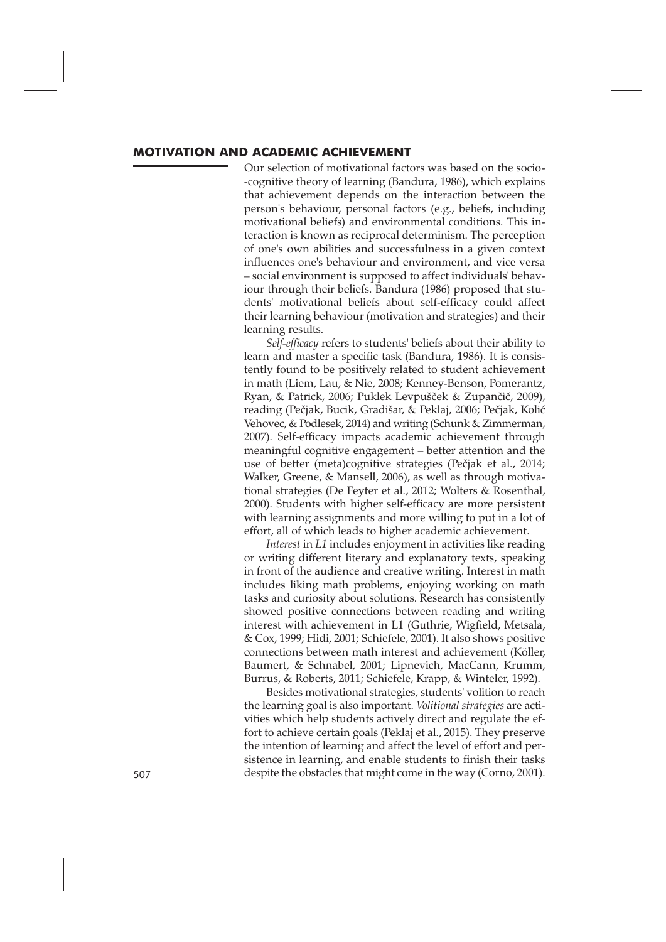#### **MOTIVATION AND ACADEMIC ACHIEVEMENT**

Our selection of motivational factors was based on the socio- -cognitive theory of learning (Bandura, 1986), which explains that achievement depends on the interaction between the person's behaviour, personal factors (e.g., beliefs, including motivational beliefs) and environmental conditions. This interaction is known as reciprocal determinism. The perception of one's own abilities and successfulness in a given context influences one's behaviour and environment, and vice versa – social environment is supposed to affect individuals' behaviour through their beliefs. Bandura (1986) proposed that students' motivational beliefs about self-efficacy could affect their learning behaviour (motivation and strategies) and their learning results.

*Self-efficacy* refers to students' beliefs about their ability to learn and master a specific task (Bandura, 1986). It is consistently found to be positively related to student achievement in math (Liem, Lau, & Nie, 2008; Kenney-Benson, Pomerantz, Ryan, & Patrick, 2006; Puklek Levpušček & Zupančič, 2009), reading (Pečjak, Bucik, Gradišar, & Peklaj, 2006; Pečjak, Kolić Vehovec, & Podlesek, 2014) and writing (Schunk & Zimmerman, 2007). Self-efficacy impacts academic achievement through meaningful cognitive engagement – better attention and the use of better (meta)cognitive strategies (Pečjak et al., 2014; Walker, Greene, & Mansell, 2006), as well as through motivational strategies (De Feyter et al., 2012; Wolters & Rosenthal, 2000). Students with higher self-efficacy are more persistent with learning assignments and more willing to put in a lot of effort, all of which leads to higher academic achievement.

*Interest* in *L1* includes enjoyment in activities like reading or writing different literary and explanatory texts, speaking in front of the audience and creative writing. Interest in math includes liking math problems, enjoying working on math tasks and curiosity about solutions. Research has consistently showed positive connections between reading and writing interest with achievement in L1 (Guthrie, Wigfield, Metsala, & Cox, 1999; Hidi, 2001; Schiefele, 2001). It also shows positive connections between math interest and achievement (Köller, Baumert, & Schnabel, 2001; Lipnevich, MacCann, Krumm, Burrus, & Roberts, 2011; Schiefele, Krapp, & Winteler, 1992).

Besides motivational strategies, students' volition to reach the learning goal is also important. *Volitional strategies* are activities which help students actively direct and regulate the effort to achieve certain goals (Peklaj et al., 2015). They preserve the intention of learning and affect the level of effort and persistence in learning, and enable students to finish their tasks 507 despite the obstacles that might come in the way (Corno, 2001).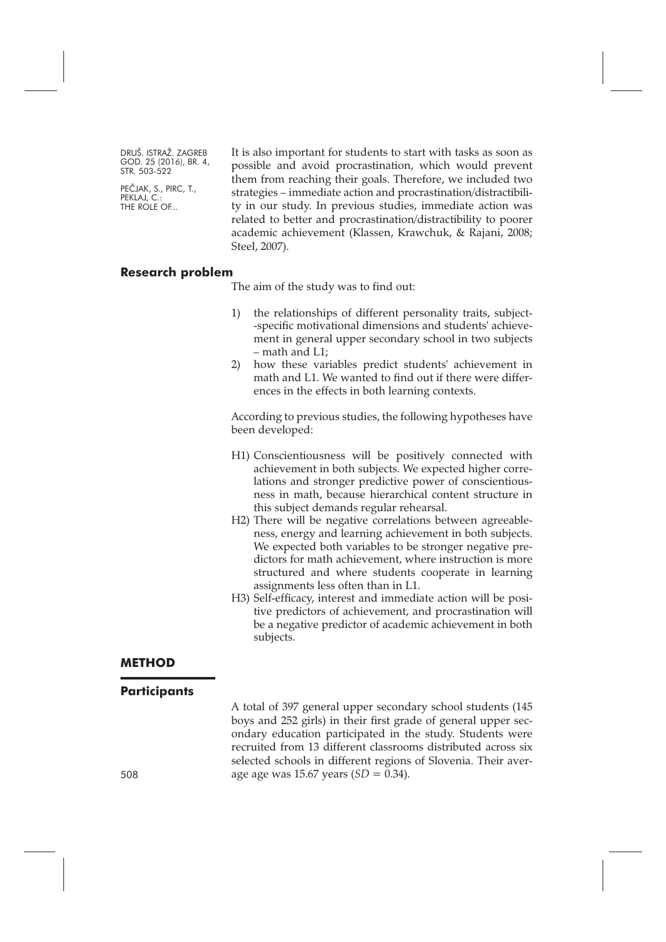PEČJAK, S., PIRC, T., PEKLAJ, C. THE ROLE OF...

It is also important for students to start with tasks as soon as possible and avoid procrastination, which would prevent them from reaching their goals. Therefore, we included two strategies – immediate action and procrastination/distractibility in our study. In previous studies, immediate action was related to better and procrastination/distractibility to poorer academic achievement (Klassen, Krawchuk, & Rajani, 2008; Steel, 2007).

#### **Research problem**

The aim of the study was to find out:

- 1) the relationships of different personality traits, subject- -specific motivational dimensions and students' achievement in general upper secondary school in two subjects – math and L1;
- 2) how these variables predict students' achievement in math and L1. We wanted to find out if there were differences in the effects in both learning contexts.

According to previous studies, the following hypotheses have been developed:

- H1) Conscientiousness will be positively connected with achievement in both subjects. We expected higher correlations and stronger predictive power of conscientiousness in math, because hierarchical content structure in this subject demands regular rehearsal.
- H2) There will be negative correlations between agreeableness, energy and learning achievement in both subjects. We expected both variables to be stronger negative predictors for math achievement, where instruction is more structured and where students cooperate in learning assignments less often than in L1.
- H3) Self-efficacy, interest and immediate action will be positive predictors of achievement, and procrastination will be a negative predictor of academic achievement in both subjects.

#### **METHOD**

#### **Participants**

A total of 397 general upper secondary school students (145 boys and 252 girls) in their first grade of general upper secondary education participated in the study. Students were recruited from 13 different classrooms distributed across six selected schools in different regions of Slovenia. Their average age was 15.67 years (*SD =* 0.34).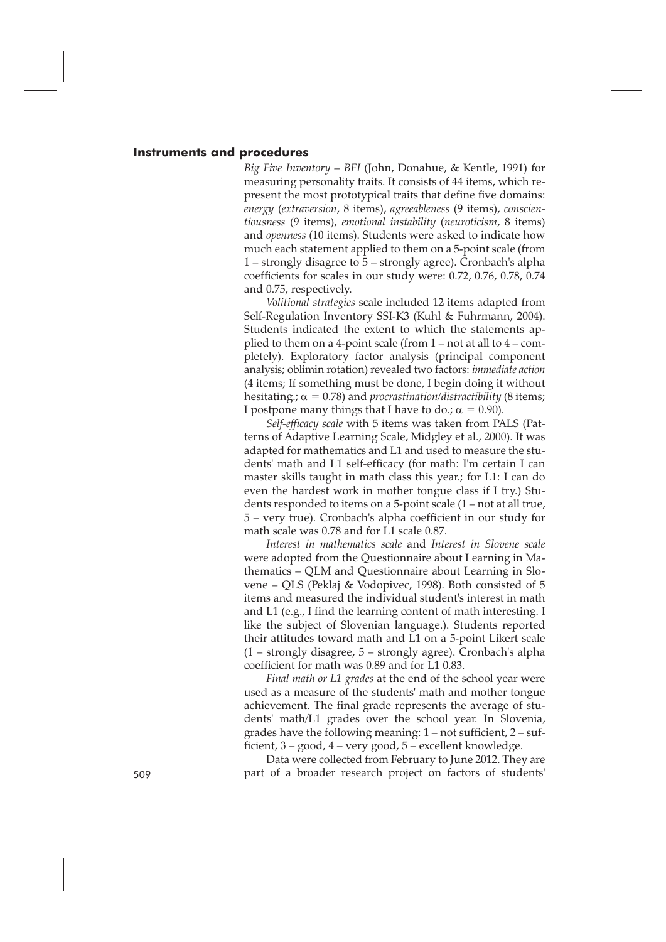#### **Instruments and procedures**

*Big Five Inventory – BFI* (John, Donahue, & Kentle, 1991) for measuring personality traits. It consists of 44 items, which represent the most prototypical traits that define five domains: *energy* (*extraversion*, 8 items), *agreeableness* (9 items), *conscientiousness* (9 items), *emotional instability* (*neuroticism*, 8 items) and *openness* (10 items). Students were asked to indicate how much each statement applied to them on a 5-point scale (from 1 – strongly disagree to 5 – strongly agree). Cronbach's alpha coefficients for scales in our study were: 0.72, 0.76, 0.78, 0.74 and 0.75, respectively.

*Volitional strategies* scale included 12 items adapted from Self-Regulation Inventory SSI-K3 (Kuhl & Fuhrmann, 2004). Students indicated the extent to which the statements applied to them on a 4-point scale (from 1 – not at all to 4 – completely). Exploratory factor analysis (principal component analysis; oblimin rotation) revealed two factors: *immediate action* (4 items; If something must be done, I begin doing it without hesitating.;  $\alpha = 0.78$ ) and *procrastination*/distractibility (8 items; I postpone many things that I have to do.;  $\alpha = 0.90$ ).

*Self-efficacy scale* with 5 items was taken from PALS (Patterns of Adaptive Learning Scale, Midgley et al., 2000). It was adapted for mathematics and L1 and used to measure the students' math and L1 self-efficacy (for math: I'm certain I can master skills taught in math class this year.; for L1: I can do even the hardest work in mother tongue class if I try.) Students responded to items on a 5-point scale (1 – not at all true, 5 – very true). Cronbach's alpha coefficient in our study for math scale was 0.78 and for L1 scale 0.87.

*Interest in mathematics scale* and *Interest in Slovene scale* were adopted from the Questionnaire about Learning in Mathematics – QLM and Questionnaire about Learning in Slovene – QLS (Peklaj & Vodopivec, 1998). Both consisted of 5 items and measured the individual student's interest in math and L1 (e.g., I find the learning content of math interesting. I like the subject of Slovenian language.). Students reported their attitudes toward math and L1 on a 5-point Likert scale (1 – strongly disagree, 5 – strongly agree). Cronbach's alpha coefficient for math was 0.89 and for L1 0.83.

*Final math or L1 grades* at the end of the school year were used as a measure of the students' math and mother tongue achievement. The final grade represents the average of students' math/L1 grades over the school year. In Slovenia, grades have the following meaning: 1 – not sufficient, 2 – sufficient, 3 – good, 4 – very good, 5 – excellent knowledge.

Data were collected from February to June 2012. They are 509 part of a broader research project on factors of students'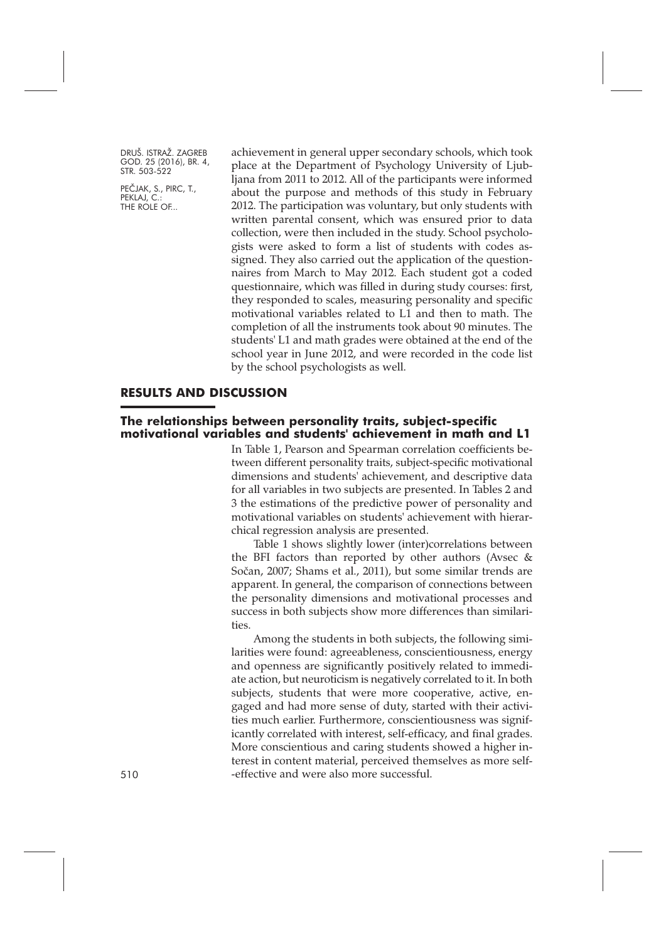PEČJAK, S., PIRC, T., PEKLAJ, C. THE ROLE OF...

achievement in general upper secondary schools, which took place at the Department of Psychology University of Ljubljana from 2011 to 2012. All of the participants were informed about the purpose and methods of this study in February 2012. The participation was voluntary, but only students with written parental consent, which was ensured prior to data collection, were then included in the study. School psychologists were asked to form a list of students with codes assigned. They also carried out the application of the questionnaires from March to May 2012. Each student got a coded questionnaire, which was filled in during study courses: first, they responded to scales, measuring personality and specific motivational variables related to L1 and then to math. The completion of all the instruments took about 90 minutes. The students' L1 and math grades were obtained at the end of the school year in June 2012, and were recorded in the code list by the school psychologists as well.

#### **RESULTS AND DISCUSSION**

#### **The relationships between personality traits, subject-specific motivational variables and students' achievement in math and L1**

In Table 1, Pearson and Spearman correlation coefficients between different personality traits, subject-specific motivational dimensions and students' achievement, and descriptive data for all variables in two subjects are presented. In Tables 2 and 3 the estimations of the predictive power of personality and motivational variables on students' achievement with hierarchical regression analysis are presented.

Table 1 shows slightly lower (inter)correlations between the BFI factors than reported by other authors (Avsec & Sočan, 2007; Shams et al., 2011), but some similar trends are apparent. In general, the comparison of connections between the personality dimensions and motivational processes and success in both subjects show more differences than similarities.

Among the students in both subjects, the following similarities were found: agreeableness, conscientiousness, energy and openness are significantly positively related to immediate action, but neuroticism is negatively correlated to it. In both subjects, students that were more cooperative, active, engaged and had more sense of duty, started with their activities much earlier. Furthermore, conscientiousness was significantly correlated with interest, self-efficacy, and final grades. More conscientious and caring students showed a higher interest in content material, perceived themselves as more self- -effective and were also more successful.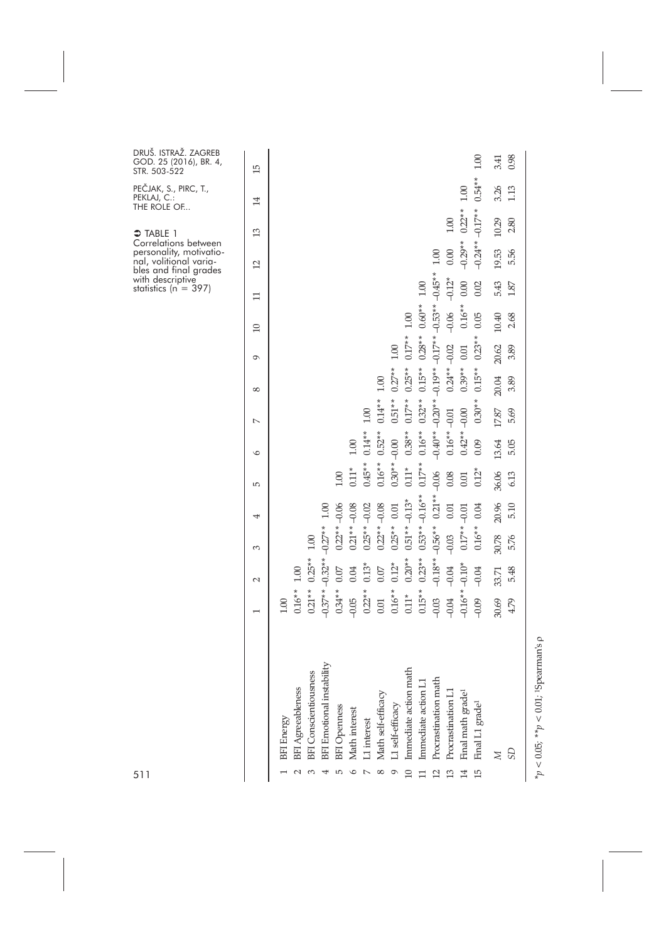| UŠ. ISTRAŽ. ZAGREB<br>OD. 25 (2016), BR. 4,<br>. 503-522<br>ČJAK, S., PIRC, T.,<br>(LAJ, C.:              | 15<br>$\overline{14}$ |            |                          |                              |                                |                                       |                          |                                 |                                  |                       |                       |                     |                      |                       | 00.1                             | 1.00<br>$0.54***$              | 3.41<br>3.26   | 0.98<br>1.13 |                                              |
|-----------------------------------------------------------------------------------------------------------|-----------------------|------------|--------------------------|------------------------------|--------------------------------|---------------------------------------|--------------------------|---------------------------------|----------------------------------|-----------------------|-----------------------|---------------------|----------------------|-----------------------|----------------------------------|--------------------------------|----------------|--------------|----------------------------------------------|
| E ROLE OF<br>TABLE 1<br>rrelations between                                                                | $\mathfrak{L}$        |            |                          |                              |                                |                                       |                          |                                 |                                  |                       |                       |                     |                      | $1.00\,$              | $0.22**$                         | $-0.17**$                      | 10.29          | 2.80         |                                              |
| rsonality, motivatio-<br>l, volitional varia-<br>s and final grades<br>h descriptive<br>tistics (n = 397) | $\overline{c}$        |            |                          |                              |                                |                                       |                          |                                 |                                  |                       |                       |                     | 1.00                 | 0.00                  | $-0.29**$                        | $-0.24**$                      | 19.53          | 5.56         |                                              |
|                                                                                                           | 〓                     |            |                          |                              |                                |                                       |                          |                                 |                                  |                       |                       | 1.00                | $-0.45**$            | $-0.12*$              | 0.00                             | 0.02                           | 5.43           | 1.87         |                                              |
|                                                                                                           | $\Box$                |            |                          |                              |                                |                                       |                          |                                 |                                  |                       | $1.00\,$              | $0.60**$            | $-0.53**$            | $-0.06$               | $0.16*$                          | 0.05                           | 10.40          | 2.68         |                                              |
|                                                                                                           | $\sigma$              |            |                          |                              |                                |                                       |                          |                                 |                                  | $1.00\,$              | $0.17**$              | $0.28**$            | $-0.17**$            | $-0.02$               | 0.01                             | $0.23*$                        | 20.62          | 3.89         |                                              |
|                                                                                                           | $^{\circ}$            |            |                          |                              |                                |                                       |                          |                                 | 1.00                             | $0.27**$              | $0.25**$              | $0.15**$            | $-0.19**$            | $0.24***$             | $0.39**$                         | $0.15**$                       | 20.04          | 3.89         |                                              |
|                                                                                                           | $\sim$                |            |                          |                              |                                |                                       |                          | 1.00                            | $0.14**$                         | $0.51**$              | $0.17**$              | $0.32**$            | $-0.20**$            | $-0.01$               | $-0.00$                          | $0.30**$                       | 17.87          | 5.69         |                                              |
|                                                                                                           | $\circ$               |            |                          |                              |                                |                                       | $1.00\,$                 | $0.14***$                       | $0.52**$                         | $-0.00$               | $0.38**$              | $0.16**$            | $-0.40**$            | $0.16**$              | $0.42**$                         | 0.09                           | 13.64          | 5.05         |                                              |
|                                                                                                           | S                     |            |                          |                              |                                | 1.00                                  | $0.11*$                  | $0.45**$                        | $0.16**$                         | $0.30**$              | $0.11*$               | $0.17**$            | $-0.06$              | 0.08                  | 0.01                             | $0.12*$                        | 36.06          | 6.13         |                                              |
|                                                                                                           | 4                     |            |                          |                              | 1.00                           | $-0.06$                               | $-0.08$                  | $-0.02$                         | $-0.08$                          | 0.01                  | $-0.13*$              | $-0.16**$           | $0.21**$             | 0.01                  | $-0.01$                          | 0.04                           | 20.96          | 5.10         |                                              |
|                                                                                                           | 3                     |            |                          | $1.00\,$                     | $-0.27**$                      | $0.22**$                              | $0.21**$                 | $0.25**$                        | $0.22**$                         | $0.25**$              | $0.51***$ .           | $0.53**$            | $-0.56**$            | $-0.03$               | $0.17*$                          | $0.16**$                       | 30.78          | 5.76         |                                              |
|                                                                                                           | $\sim$                |            | 1.00                     | $0.25**$                     | $-0.32**$                      | $0.07\,$                              | 0.04                     | $0.13*$                         | 0.07                             | $0.12*$               | $0.20**$              | $0.23**$            | $-0.18**$            | $-0.04$               | $-0.10*$                         | $-0.04$                        | 33.71          | 5.48         |                                              |
|                                                                                                           | $\overline{ }$        | 1.00       | $0.16**$                 | $0.21**$                     | $-0.37**$                      | $0.34***$                             | $-0.05$                  | $0.22**$                        | 0.01                             | $0.16***$             | $0.11*$               | $0.15**$            | $-0.03$              | $-0.04$               | $-0.16*$                         | $-0.09$                        | 30.69          | 4.79         |                                              |
|                                                                                                           |                       | BFI Energy | <b>BFI Agreeableness</b> | <b>BFI</b> Conscientiousness | BFI Emotional instability<br>4 | <b>BFI</b> Openness<br>$\overline{5}$ | Math interest<br>$\circ$ | L1 interest<br>$\triangleright$ | Math self-efficacy<br>$^{\circ}$ | L1 self-efficacy<br>9 | Immediate action math | Immediate action L1 | Procrastination math | 13 Procrastination L1 | 14 Final math grade <sup>1</sup> | 15 Final L1 grade <sup>1</sup> | $\overline{M}$ | <b>GS</b>    | $\overline{a}$<br>*** / OU 100 / Y** . *** . |
| 1                                                                                                         |                       |            |                          |                              |                                |                                       |                          |                                 |                                  |                       | $\overline{10}$       |                     | $\overline{2}$       |                       |                                  |                                |                |              |                                              |

D R U G O S T R

P E Č P E K T H E

 $\supset$  TA C o r per .<br>nal, b l e s with stat

> $*_p$  < 0.05;  $*_p$  < 0.01; 19 pearman's  $\rho$ *\*p <* 0.05*; \*\*p <* 0.01*;* 1Spearman's ρ

5 1 1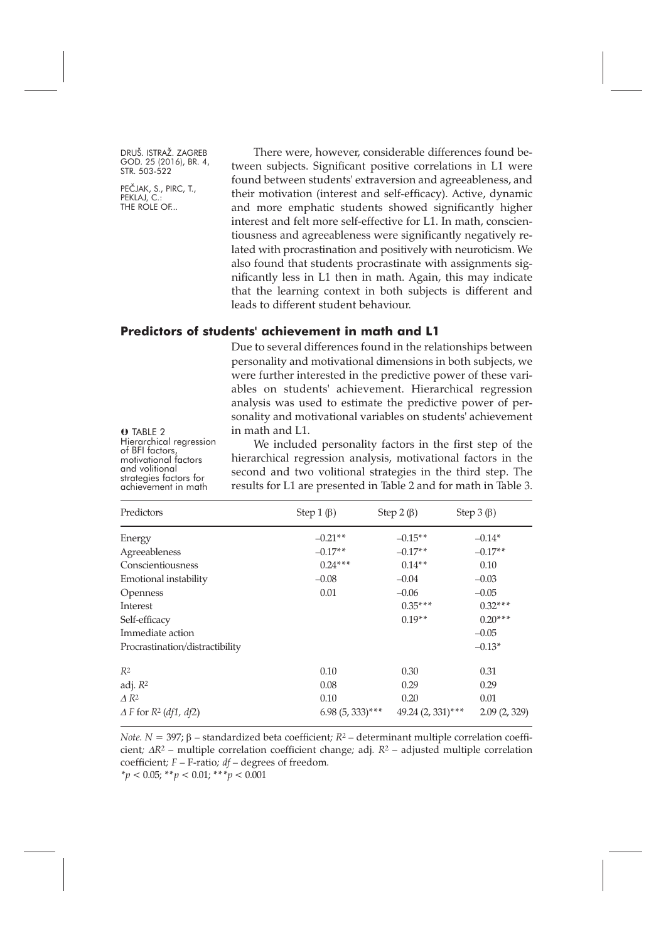PEČJAK, S., PIRC, T., PEKLAJ, C. THE ROLE OF...

There were, however, considerable differences found between subjects. Significant positive correlations in L1 were found between students' extraversion and agreeableness, and their motivation (interest and self-efficacy). Active, dynamic and more emphatic students showed significantly higher interest and felt more self-effective for L1. In math, conscientiousness and agreeableness were significantly negatively related with procrastination and positively with neuroticism. We also found that students procrastinate with assignments significantly less in L1 then in math. Again, this may indicate that the learning context in both subjects is different and leads to different student behaviour.

### **Predictors of students' achievement in math and L1**

Due to several differences found in the relationships between personality and motivational dimensions in both subjects, we were further interested in the predictive power of these variables on students' achievement. Hierarchical regression analysis was used to estimate the predictive power of personality and motivational variables on students' achievement in math and L1.

**O** TABLE 2<br>Hierarchical regression of BFI factors,<br>motivational factors<br>and volitional<br>strategies factors for<br>achievement in math

We included personality factors in the first step of the hierarchical regression analysis, motivational factors in the second and two volitional strategies in the third step. The results for L1 are presented in Table 2 and for math in Table 3.

| Predictors                      | Step 1 $(\beta)$   | Step 2 $(\beta)$     | Step $3(\beta)$ |  |  |
|---------------------------------|--------------------|----------------------|-----------------|--|--|
| Energy                          | $-0.21**$          | $-0.15**$            | $-0.14*$        |  |  |
| Agreeableness                   | $-0.17**$          | $-0.17**$            | $-0.17**$       |  |  |
| Conscientiousness               | $0.24***$          | $0.14**$             | 0.10            |  |  |
| Emotional instability           | $-0.08$            | $-0.04$              | $-0.03$         |  |  |
| Openness                        | 0.01               | $-0.06$              | $-0.05$         |  |  |
| Interest                        |                    | $0.35***$            | $0.32***$       |  |  |
| Self-efficacy                   |                    | $0.19**$             | $0.20***$       |  |  |
| Immediate action                |                    |                      | $-0.05$         |  |  |
| Procrastination/distractibility |                    |                      | $-0.13*$        |  |  |
| R <sup>2</sup>                  | 0.10               | 0.30                 | 0.31            |  |  |
| adj. $R^2$                      | 0.08               | 0.29                 | 0.29            |  |  |
| $\triangle R^2$                 | 0.10               | 0.20                 | 0.01            |  |  |
| $\Delta F$ for $R^2$ (df1, df2) | $6.98(5, 333)$ *** | $49.24 (2, 331)$ *** | 2.09(2, 329)    |  |  |

*Note. N =* 397; β *–* standardized beta coefficient*; R2 –* determinant multiple correlation coefficient*;* <sup>∆</sup>*R2 –* multiple correlation coefficient change*;* adj*. R2 –* adjusted multiple correlation coefficient*; F –* F-ratio*; df –* degrees of freedom*.*

*\*p* < 0.05; \*\**p <* 0.01; \*\**\*p* < 0.001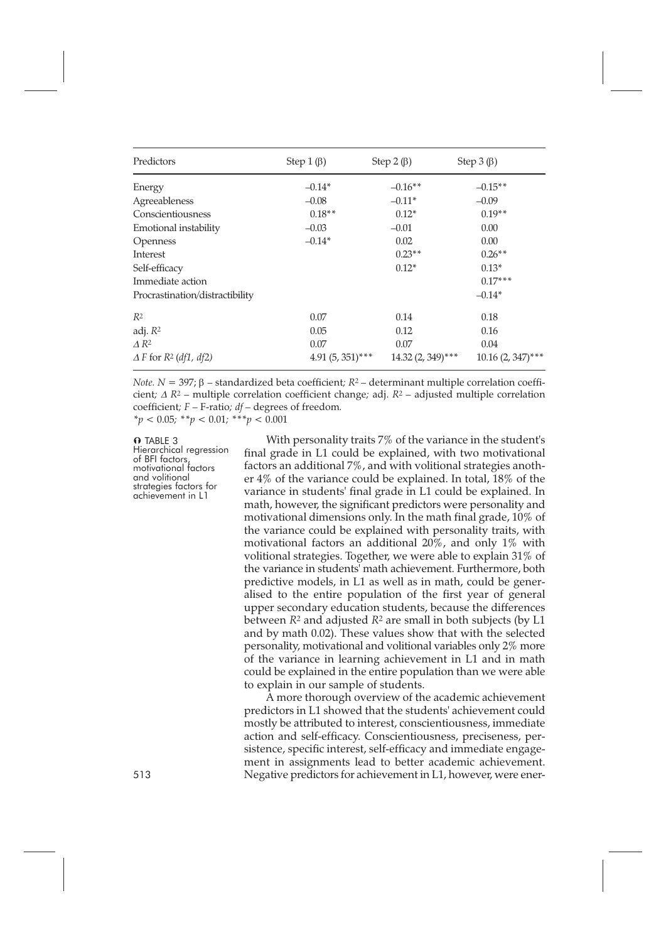| Predictors                      | Step 1 $(\beta)$   | Step $2(\beta)$     | Step $3(\beta)$      |  |  |
|---------------------------------|--------------------|---------------------|----------------------|--|--|
| Energy                          | $-0.14*$           | $-0.16**$           | $-0.15**$            |  |  |
| Agreeableness                   | $-0.08$            | $-0.11*$            | $-0.09$              |  |  |
| Conscientiousness               | $0.18**$           | $0.12*$             | $0.19**$             |  |  |
| Emotional instability           | $-0.03$            | $-0.01$             | 0.00                 |  |  |
| Openness                        | $-0.14*$           | 0.02                | 0.00                 |  |  |
| Interest                        |                    | $0.23**$            | $0.26**$             |  |  |
| Self-efficacy                   |                    | $0.12*$             | $0.13*$              |  |  |
| Immediate action                |                    |                     | $0.17***$            |  |  |
| Procrastination/distractibility |                    |                     | $-0.14*$             |  |  |
| $R^2$                           | 0.07               | 0.14                | 0.18                 |  |  |
| adj. $R^2$                      | 0.05               | 0.12                | 0.16                 |  |  |
| $\Delta R^2$                    | 0.07               | 0.07                | 0.04                 |  |  |
| $\Delta F$ for $R^2$ (df1, df2) | $4.91(5, 351)$ *** | $14.32(2, 349)$ *** | $10.16 (2, 347)$ *** |  |  |

*Note. N* = 397; β *–* standardized beta coefficient*; R2 –* determinant multiple correlation coefficient*;* <sup>∆</sup> *R2 –* multiple correlation coefficient change*;* adj. *R2 –* adjusted multiple correlation coefficient*; F –* F-ratio*; df –* degrees of freedom*. \*p <* 0.05*; \*\*p <* 0.01*; \*\*\*p <* 0.001

#### **O** TABLE 3

Hierarchical regression<br>of BFI factors,<br>motivational factors<br>and volitional strategies factors for<br>achievement in L1

With personality traits 7% of the variance in the student's final grade in L1 could be explained, with two motivational factors an additional 7%, and with volitional strategies another 4% of the variance could be explained. In total, 18% of the variance in students' final grade in L1 could be explained. In math, however, the significant predictors were personality and motivational dimensions only. In the math final grade, 10% of the variance could be explained with personality traits, with motivational factors an additional 20%, and only 1% with volitional strategies. Together, we were able to explain 31% of the variance in students' math achievement. Furthermore, both predictive models, in L1 as well as in math, could be generalised to the entire population of the first year of general upper secondary education students, because the differences between *R2* and adjusted *R2* are small in both subjects (by L1 and by math 0.02). These values show that with the selected personality, motivational and volitional variables only 2% more of the variance in learning achievement in L1 and in math could be explained in the entire population than we were able to explain in our sample of students.

A more thorough overview of the academic achievement predictors in L1 showed that the students' achievement could mostly be attributed to interest, conscientiousness, immediate action and self-efficacy. Conscientiousness, preciseness, persistence, specific interest, self-efficacy and immediate engagement in assignments lead to better academic achievement. 513 Negative predictors for achievement in L1, however, were ener-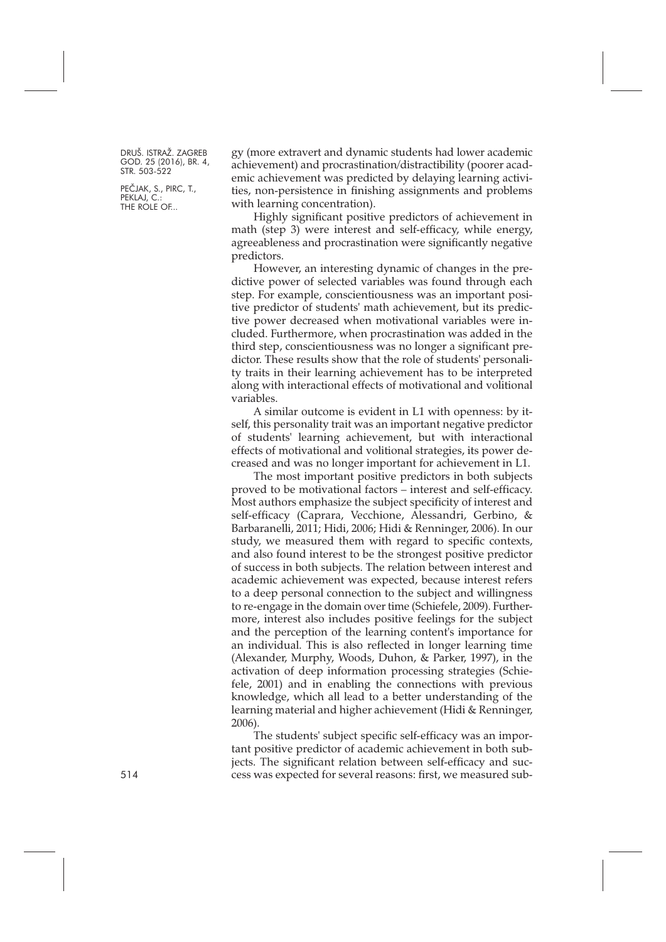PEČJAK, S., PIRC, T., PEKLAJ, C. THE ROLE OF...

gy (more extravert and dynamic students had lower academic achievement) and procrastination/distractibility (poorer academic achievement was predicted by delaying learning activities, non-persistence in finishing assignments and problems with learning concentration).

Highly significant positive predictors of achievement in math (step 3) were interest and self-efficacy, while energy, agreeableness and procrastination were significantly negative predictors.

However, an interesting dynamic of changes in the predictive power of selected variables was found through each step. For example, conscientiousness was an important positive predictor of students' math achievement, but its predictive power decreased when motivational variables were included. Furthermore, when procrastination was added in the third step, conscientiousness was no longer a significant predictor. These results show that the role of students' personality traits in their learning achievement has to be interpreted along with interactional effects of motivational and volitional variables.

A similar outcome is evident in L1 with openness: by itself, this personality trait was an important negative predictor of students' learning achievement, but with interactional effects of motivational and volitional strategies, its power decreased and was no longer important for achievement in L1.

The most important positive predictors in both subjects proved to be motivational factors – interest and self-efficacy. Most authors emphasize the subject specificity of interest and self-efficacy (Caprara, Vecchione, Alessandri, Gerbino, & Barbaranelli, 2011; Hidi, 2006; Hidi & Renninger, 2006). In our study, we measured them with regard to specific contexts, and also found interest to be the strongest positive predictor of success in both subjects. The relation between interest and academic achievement was expected, because interest refers to a deep personal connection to the subject and willingness to re-engage in the domain over time (Schiefele, 2009). Furthermore, interest also includes positive feelings for the subject and the perception of the learning content's importance for an individual. This is also reflected in longer learning time (Alexander, Murphy, Woods, Duhon, & Parker, 1997), in the activation of deep information processing strategies (Schiefele, 2001) and in enabling the connections with previous knowledge, which all lead to a better understanding of the learning material and higher achievement (Hidi & Renninger, 2006).

The students' subject specific self-efficacy was an important positive predictor of academic achievement in both subjects. The significant relation between self-efficacy and success was expected for several reasons: first, we measured sub-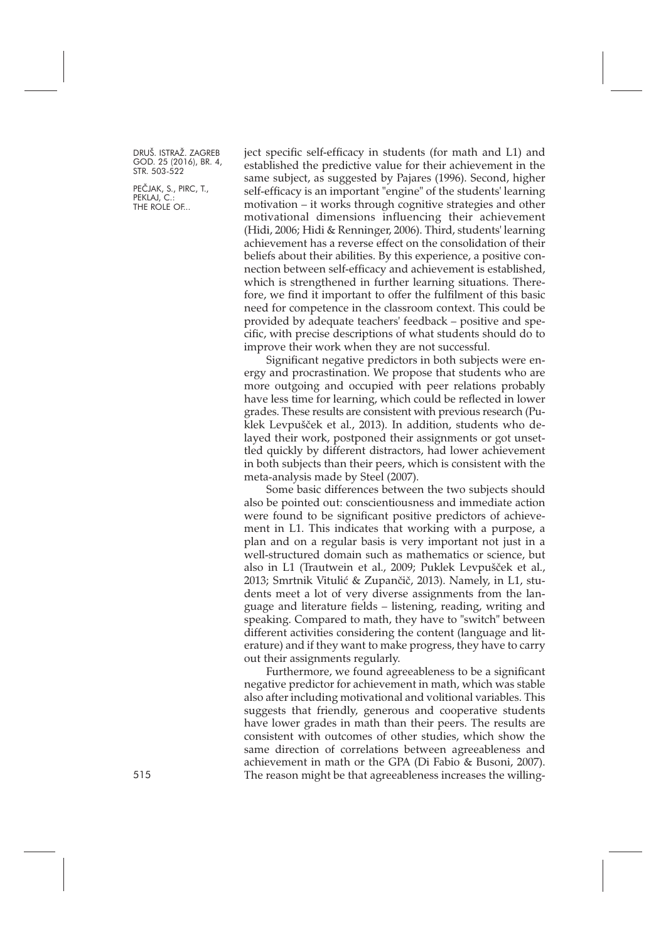PEČJAK, S., PIRC, T., PEKLAJ, C. THE ROLE OF...

ject specific self-efficacy in students (for math and L1) and established the predictive value for their achievement in the same subject, as suggested by Pajares (1996). Second, higher self-efficacy is an important "engine" of the students' learning motivation – it works through cognitive strategies and other motivational dimensions influencing their achievement (Hidi, 2006; Hidi & Renninger, 2006). Third, students' learning achievement has a reverse effect on the consolidation of their beliefs about their abilities. By this experience, a positive connection between self-efficacy and achievement is established, which is strengthened in further learning situations. Therefore, we find it important to offer the fulfilment of this basic need for competence in the classroom context. This could be provided by adequate teachers' feedback – positive and specific, with precise descriptions of what students should do to improve their work when they are not successful.

Significant negative predictors in both subjects were energy and procrastination. We propose that students who are more outgoing and occupied with peer relations probably have less time for learning, which could be reflected in lower grades. These results are consistent with previous research (Puklek Levpušček et al., 2013). In addition, students who delayed their work, postponed their assignments or got unsettled quickly by different distractors, had lower achievement in both subjects than their peers, which is consistent with the meta-analysis made by Steel (2007).

Some basic differences between the two subjects should also be pointed out: conscientiousness and immediate action were found to be significant positive predictors of achievement in L1. This indicates that working with a purpose, a plan and on a regular basis is very important not just in a well-structured domain such as mathematics or science, but also in L1 (Trautwein et al., 2009; Puklek Levpušček et al., 2013; Smrtnik Vitulić & Zupančič, 2013). Namely, in L1, students meet a lot of very diverse assignments from the language and literature fields – listening, reading, writing and speaking. Compared to math, they have to "switch" between different activities considering the content (language and literature) and if they want to make progress, they have to carry out their assignments regularly.

Furthermore, we found agreeableness to be a significant negative predictor for achievement in math, which was stable also after including motivational and volitional variables. This suggests that friendly, generous and cooperative students have lower grades in math than their peers. The results are consistent with outcomes of other studies, which show the same direction of correlations between agreeableness and achievement in math or the GPA (Di Fabio & Busoni, 2007). 515 The reason might be that agreeableness increases the willing-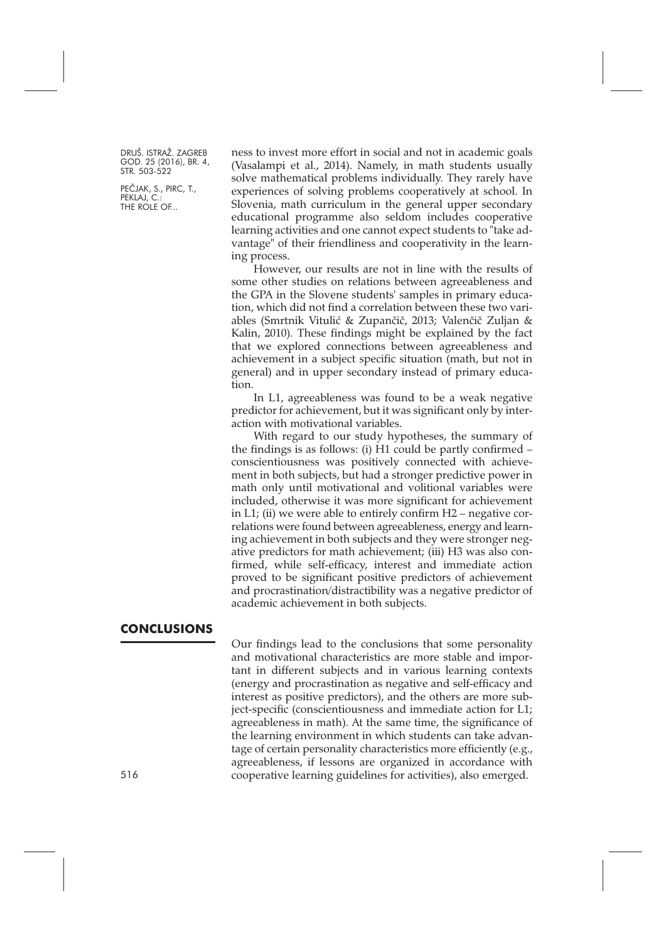PEČJAK, S., PIRC, T., PEKLAJ, C. THE ROLE OF...

ness to invest more effort in social and not in academic goals (Vasalampi et al., 2014). Namely, in math students usually solve mathematical problems individually. They rarely have experiences of solving problems cooperatively at school. In Slovenia, math curriculum in the general upper secondary educational programme also seldom includes cooperative learning activities and one cannot expect students to "take advantage" of their friendliness and cooperativity in the learning process.

However, our results are not in line with the results of some other studies on relations between agreeableness and the GPA in the Slovene students' samples in primary education, which did not find a correlation between these two variables (Smrtnik Vitulić & Zupančič, 2013; Valenčič Zuljan & Kalin, 2010). These findings might be explained by the fact that we explored connections between agreeableness and achievement in a subject specific situation (math, but not in general) and in upper secondary instead of primary education.

In L1, agreeableness was found to be a weak negative predictor for achievement, but it was significant only by interaction with motivational variables.

With regard to our study hypotheses, the summary of the findings is as follows: (i) H1 could be partly confirmed – conscientiousness was positively connected with achievement in both subjects, but had a stronger predictive power in math only until motivational and volitional variables were included, otherwise it was more significant for achievement in L1; (ii) we were able to entirely confirm  $H2$  – negative correlations were found between agreeableness, energy and learning achievement in both subjects and they were stronger negative predictors for math achievement; (iii) H3 was also confirmed, while self-efficacy, interest and immediate action proved to be significant positive predictors of achievement and procrastination/distractibility was a negative predictor of academic achievement in both subjects.

#### **CONCLUSIONS**

Our findings lead to the conclusions that some personality and motivational characteristics are more stable and important in different subjects and in various learning contexts (energy and procrastination as negative and self-efficacy and interest as positive predictors), and the others are more subject-specific (conscientiousness and immediate action for L1; agreeableness in math). At the same time, the significance of the learning environment in which students can take advantage of certain personality characteristics more efficiently (e.g., agreeableness, if lessons are organized in accordance with cooperative learning guidelines for activities), also emerged.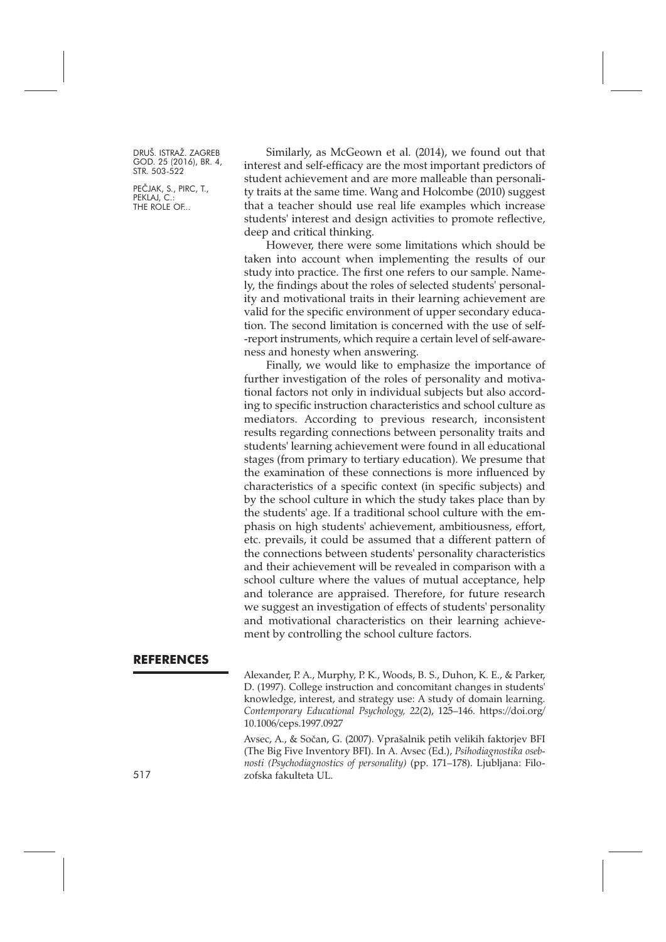PEČJAK, S., PIRC, T., PEKLAJ, C. THE ROLE OF...

Similarly, as McGeown et al. (2014), we found out that interest and self-efficacy are the most important predictors of student achievement and are more malleable than personality traits at the same time. Wang and Holcombe (2010) suggest that a teacher should use real life examples which increase students' interest and design activities to promote reflective, deep and critical thinking.

However, there were some limitations which should be taken into account when implementing the results of our study into practice. The first one refers to our sample. Namely, the findings about the roles of selected students' personality and motivational traits in their learning achievement are valid for the specific environment of upper secondary education. The second limitation is concerned with the use of self- -report instruments, which require a certain level of self-awareness and honesty when answering.

Finally, we would like to emphasize the importance of further investigation of the roles of personality and motivational factors not only in individual subjects but also according to specific instruction characteristics and school culture as mediators. According to previous research, inconsistent results regarding connections between personality traits and students' learning achievement were found in all educational stages (from primary to tertiary education). We presume that the examination of these connections is more influenced by characteristics of a specific context (in specific subjects) and by the school culture in which the study takes place than by the students' age. If a traditional school culture with the emphasis on high students' achievement, ambitiousness, effort, etc. prevails, it could be assumed that a different pattern of the connections between students' personality characteristics and their achievement will be revealed in comparison with a school culture where the values of mutual acceptance, help and tolerance are appraised. Therefore, for future research we suggest an investigation of effects of students' personality and motivational characteristics on their learning achievement by controlling the school culture factors.

#### **REFERENCES**

Alexander, P. A., Murphy, P. K., Woods, B. S., Duhon, K. E., & Parker, D. (1997). College instruction and concomitant changes in students' knowledge, interest, and strategy use: A study of domain learning. *Contemporary Educational Psychology, 22*(2), 125–146. [https://doi.org/](https://doi.org/10.1006/ceps.1997.0927) [10.1006/ceps.1997.0927](https://doi.org/10.1006/ceps.1997.0927)

Avsec, A., & Sočan, G. (2007). Vprašalnik petih velikih faktorjev BFI (The Big Five Inventory BFI). In A. Avsec (Ed.), *Psihodiagnostika osebnosti (Psychodiagnostics of personality)* (pp. 171–178). Ljubljana: Filo-517 zofska fakulteta UL.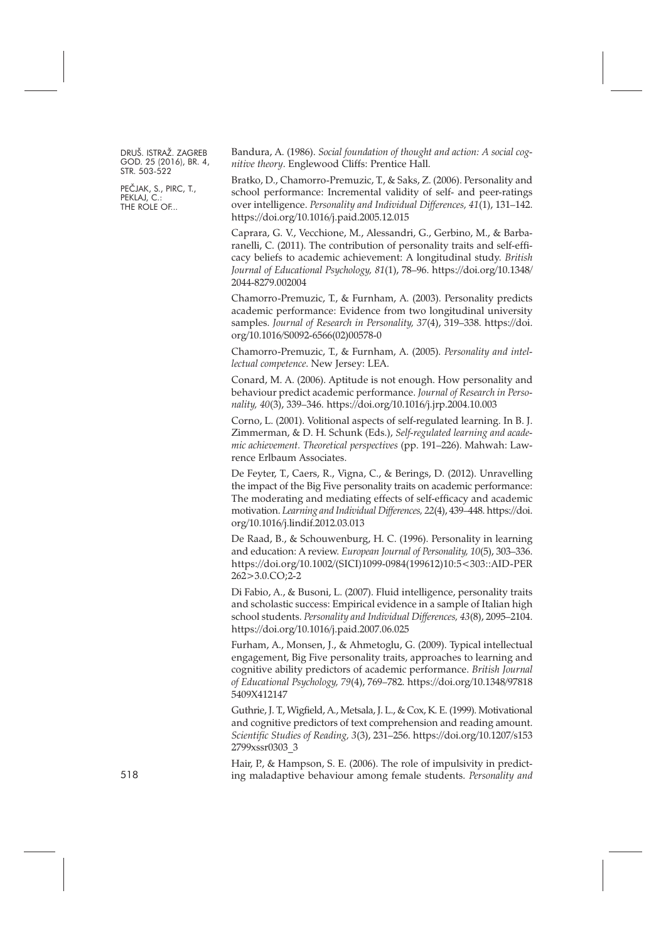PEČJAK, S., PIRC, T., PEKLAJ, C. THE ROLE OF...

Bandura, A. (1986). *Social foundation of thought and action: A social cognitive theory*. Englewood Cliffs: Prentice Hall.

Bratko, D., Chamorro-Premuzic, T., & Saks, Z. (2006). Personality and school performance: Incremental validity of self- and peer-ratings over intelligence. *Personality and Individual Differences, 41*(1), 131–142. <https://doi.org/10.1016/j.paid.2005.12.015>

Caprara, G. V., Vecchione, M., Alessandri, G., Gerbino, M., & Barbaranelli, C. (2011). The contribution of personality traits and self-efficacy beliefs to academic achievement: A longitudinal study. *British Journal of Educational Psychology, 81*(1), 78–96. [https://doi.org/10.1348/](https://doi.org/10.1348/2044-8279.002004) [2044-8279.002004](https://doi.org/10.1348/2044-8279.002004)

Chamorro-Premuzic, T., & Furnham, A. (2003). Personality predicts academic performance: Evidence from two longitudinal university samples. *Journal of Research in Personality, 37*(4), 319–338. [https://doi.](https://doi.org/10.1016/S0092-6566(02)00578-0) [org/10.1016/S0092-6566\(02\)00578-0](https://doi.org/10.1016/S0092-6566(02)00578-0)

Chamorro-Premuzic, T., & Furnham, A. (2005). *Personality and intellectual competence*. New Jersey: LEA.

Conard, M. A. (2006). Aptitude is not enough. How personality and behaviour predict academic performance. *Journal of Research in Personality, 40*(3), 339–346. <https://doi.org/10.1016/j.jrp.2004.10.003>

Corno, L. (2001). Volitional aspects of self-regulated learning. In B. J. Zimmerman, & D. H. Schunk (Eds.), *Self-regulated learning and academic achievement. Theoretical perspectives* (pp. 191–226). Mahwah: Lawrence Erlbaum Associates.

De Feyter, T., Caers, R., Vigna, C., & Berings, D. (2012). Unravelling the impact of the Big Five personality traits on academic performance: The moderating and mediating effects of self-efficacy and academic motivation. *Learning and Individual Differences, 22*(4), 439–448. [https://doi.](https://doi.org/10.1016/j.lindif.2012.03.013) [org/10.1016/j.lindif.2012.03.013](https://doi.org/10.1016/j.lindif.2012.03.013)

De Raad, B., & Schouwenburg, H. C. (1996). Personality in learning and education: A review. *European Journal of Personality, 10*(5), 303–336. [https://doi.org/10.1002/\(SICI\)1099-0984\(199612\)10:5<303::AID-PER](https://doi.org/10.1002/(SICI)1099-0984(199612)10:5<303::AID-PER262>3.0.CO;2-2) [262>3.0.CO;2-2](https://doi.org/10.1002/(SICI)1099-0984(199612)10:5<303::AID-PER262>3.0.CO;2-2)

Di Fabio, A., & Busoni, L. (2007). Fluid intelligence, personality traits and scholastic success: Empirical evidence in a sample of Italian high school students. *Personality and Individual Differences, 43*(8), 2095–2104. <https://doi.org/10.1016/j.paid.2007.06.025>

Furham, A., Monsen, J., & Ahmetoglu, G. (2009). Typical intellectual engagement, Big Five personality traits, approaches to learning and cognitive ability predictors of academic performance. *British Journal of Educational Psychology, 79*(4), 769–782. [https://doi.org/10.1348/97818](https://doi.org/10.1348/978185409X412147) [5409X412147](https://doi.org/10.1348/978185409X412147)

Guthrie, J. T., Wigfield, A., Metsala, J. L., & Cox, K. E. (1999). Motivational and cognitive predictors of text comprehension and reading amount. *Scientific Studies of Reading, 3*(3), 231–256. [https://doi.org/10.1207/s153](https://doi.org/10.1207/s1532799xssr0303_3) [2799xssr0303\\_3](https://doi.org/10.1207/s1532799xssr0303_3)

Hair, P., & Hampson, S. E. (2006). The role of impulsivity in predicting maladaptive behaviour among female students. *Personality and*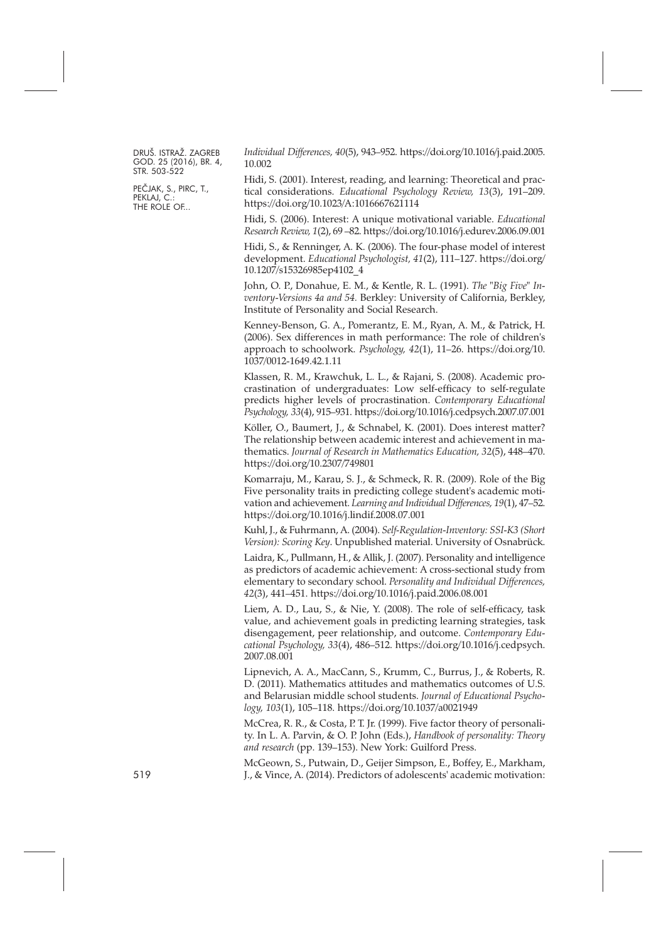PEČJAK, S., PIRC, T., PEKLAJ, C.: THE ROLE OF...

*Individual Differences, 40*(5), 943–952. [https://doi.org/10.1016/j.paid.2005.](https://doi.org/10.1016/j.paid.2005.10.002) [10.002](https://doi.org/10.1016/j.paid.2005.10.002)

Hidi, S. (2001). Interest, reading, and learning: Theoretical and practical considerations. *Educational Psychology Review, 13*(3), 191–209. <https://doi.org/10.1023/A:1016667621114>

Hidi, S. (2006). Interest: A unique motivational variable. *Educational Research Review, 1*(2), 69 –82. <https://doi.org/10.1016/j.edurev.2006.09.001>

Hidi, S., & Renninger, A. K. (2006). The four-phase model of interest development. *Educational Psychologist, 41*(2), 111–127. [https://doi.org/](https://doi.org/10.1207/s15326985ep4102_4) [10.1207/s15326985ep4102\\_4](https://doi.org/10.1207/s15326985ep4102_4)

John, O. P., Donahue, E. M., & Kentle, R. L. (1991). *The "Big Five" Inventory-Versions 4a and 54.* Berkley: University of California, Berkley, Institute of Personality and Social Research.

Kenney-Benson, G. A., Pomerantz, E. M., Ryan, A. M., & Patrick, H. (2006). Sex differences in math performance: The role of children's approach to schoolwork. *Psychology, 42*(1), 11–26. [https://doi.org/10.](https://doi.org/10.1037/0012-1649.42.1.11) [1037/0012-1649.42.1.11](https://doi.org/10.1037/0012-1649.42.1.11)

Klassen, R. M., Krawchuk, L. L., & Rajani, S. (2008). Academic procrastination of undergraduates: Low self-efficacy to self-regulate predicts higher levels of procrastination. *Contemporary Educational Psychology, 33*(4), 915–931. <https://doi.org/10.1016/j.cedpsych.2007.07.001>

Köller, O., Baumert, J., & Schnabel, K. (2001). Does interest matter? The relationship between academic interest and achievement in mathematics. *Journal of Research in Mathematics Education, 32*(5), 448–470. <https://doi.org/10.2307/749801>

Komarraju, M., Karau, S. J., & Schmeck, R. R. (2009). Role of the Big Five personality traits in predicting college student's academic motivation and achievement. *Learning and Individual Differences, 19*(1), 47–52. <https://doi.org/10.1016/j.lindif.2008.07.001>

Kuhl, J., & Fuhrmann, A. (2004). *Self-Regulation-Inventory: SSI-K3 (Short Version): Scoring Key*. Unpublished material. University of Osnabrück.

Laidra, K., Pullmann, H., & Allik, J. (2007). Personality and intelligence as predictors of academic achievement: A cross-sectional study from elementary to secondary school. *Personality and Individual Differences, 42*(3), 441–451. <https://doi.org/10.1016/j.paid.2006.08.001>

Liem, A. D., Lau, S., & Nie, Y. (2008). The role of self-efficacy, task value, and achievement goals in predicting learning strategies, task disengagement, peer relationship, and outcome. *Contemporary Educational Psychology, 33*(4), 486–512. [https://doi.org/10.1016/j.cedpsych.](https://doi.org/10.1016/j.cedpsych.2007.08.001) [2007.08.001](https://doi.org/10.1016/j.cedpsych.2007.08.001)

Lipnevich, A. A., MacCann, S., Krumm, C., Burrus, J., & Roberts, R. D. (2011). Mathematics attitudes and mathematics outcomes of U.S. and Belarusian middle school students. *Journal of Educational Psychology, 103*(1), 105–118. <https://doi.org/10.1037/a0021949>

McCrea, R. R., & Costa, P. T. Jr. (1999). Five factor theory of personality. In L. A. Parvin, & O. P. John (Eds.), *Handbook of personality: Theory and research* (pp. 139–153). New York: Guilford Press.

McGeown, S., Putwain, D., Geijer Simpson, E., Boffey, E., Markham, 519 J., & Vince, A. (2014). Predictors of adolescents' academic motivation: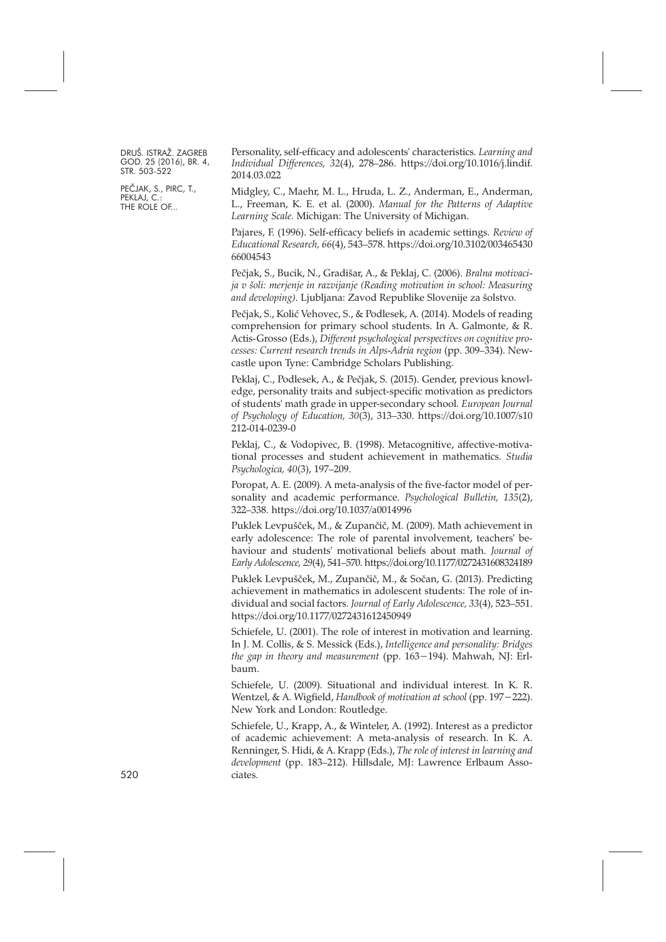PEČJAK, S., PIRC, T., PEKLAJ, C. THE ROLE OF...

Personality, self-efficacy and adolescents' characteristics. *Learning and Individual Differences, 32*(4), 278–286. [https://doi.org/10.1016/j.lindif.](https://doi.org/10.1016/j.lindif.2014.03.022) [2014.03.022](https://doi.org/10.1016/j.lindif.2014.03.022)

Midgley, C., Maehr, M. L., Hruda, L. Z., Anderman, E., Anderman, L., Freeman, K. E. et al. (2000). *Manual for the Patterns of Adaptive Learning Scale.* Michigan: The University of Michigan.

Pajares, F. (1996). Self-efficacy beliefs in academic settings. *Review of Educational Research, 66*(4), 543–578. [https://doi.org/10.3102/003465430](https://doi.org/10.3102/00346543066004543) [66004543](https://doi.org/10.3102/00346543066004543)

Pečjak, S., Bucik, N., Gradišar, A., & Peklaj, C. (2006). *Bralna motivacija v šoli: merjenje in razvijanje (Reading motivation in school: Measuring and developing)*. Ljubljana: Zavod Republike Slovenije za šolstvo.

Pečjak, S., Kolić Vehovec, S., & Podlesek, A. (2014). Models of reading comprehension for primary school students. In A. Galmonte, & R. Actis-Grosso (Eds.), *Different psychological perspectives on cognitive processes: Current research trends in Alps-Adria region* (pp. 309–334). Newcastle upon Tyne: Cambridge Scholars Publishing.

Peklaj, C., Podlesek, A., & Pečjak, S. (2015). Gender, previous knowledge, personality traits and subject-specific motivation as predictors of students' math grade in upper-secondary school. *European Journal of Psychology of Education, 30*(3), 313–330. [https://doi.org/10.1007/s10](https://doi.org/10.1007/s10212-014-0239-0) [212-014-0239-0](https://doi.org/10.1007/s10212-014-0239-0)

Peklaj, C., & Vodopivec, B. (1998). Metacognitive, affective-motivational processes and student achievement in mathematics. *Studia Psychologica, 40*(3), 197–209.

Poropat, A. E. (2009). A meta-analysis of the five-factor model of personality and academic performance. *Psychological Bulletin, 135*(2), 322–338. <https://doi.org/10.1037/a0014996>

Puklek Levpušček, M., & Zupančič, M. (2009). Math achievement in early adolescence: The role of parental involvement, teachers' behaviour and students' motivational beliefs about math. *Journal of Early Adolescence, 29*(4), 541–570. <https://doi.org/10.1177/0272431608324189>

Puklek Levpušček, M., Zupančič, M., & Sočan, G. (2013). Predicting achievement in mathematics in adolescent students: The role of individual and social factors. *Journal of Early Adolescence, 33*(4), 523–551. <https://doi.org/10.1177/0272431612450949>

Schiefele, U. (2001). The role of interest in motivation and learning. In J. M. Collis, & S. Messick (Eds.), *Intelligence and personality: Bridges the gap in theory and measurement* (pp. 163-194). Mahwah, NJ: Erlbaum.

Schiefele, U. (2009). Situational and individual interest. In K. R. Wentzel, & A. Wigfield, *Handbook of motivation at school* (pp. 197–222). New York and London: Routledge.

Schiefele, U., Krapp, A., & Winteler, A. (1992). Interest as a predictor of academic achievement: A meta-analysis of research. In K. A. Renninger, S. Hidi, & A. Krapp (Eds.), *The role of interest in learning and development* (pp. 183–212). Hillsdale, MJ: Lawrence Erlbaum Associates.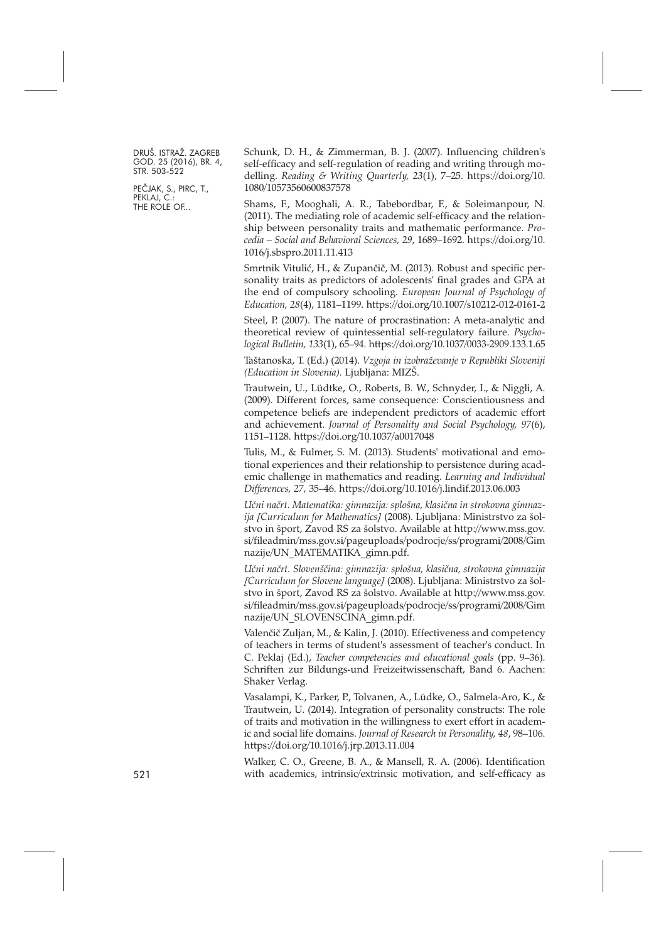PEČJAK, S., PIRC, T., PEKLAJ, C. THE ROLE OF...

Schunk, D. H., & Zimmerman, B. J. (2007). Influencing children's self-efficacy and self-regulation of reading and writing through modelling. *Reading & Writing Quarterly, 23*(1), 7–25. [https://doi.org/10.](https://doi.org/10.1080/10573560600837578) [1080/10573560600837578](https://doi.org/10.1080/10573560600837578)

Shams, F., Mooghali, A. R., Tabebordbar, F., & Soleimanpour, N. (2011). The mediating role of academic self-efficacy and the relationship between personality traits and mathematic performance. *Procedia – Social and Behavioral Sciences, 29*, 1689–1692. [https://doi.org/10.](https://doi.org/10.1016/j.sbspro.2011.11.413) [1016/j.sbspro.2011.11.413](https://doi.org/10.1016/j.sbspro.2011.11.413)

Smrtnik Vitulić, H., & Zupančič, M. (2013). Robust and specific personality traits as predictors of adolescents' final grades and GPA at the end of compulsory schooling. *European Journal of Psychology of Education, 28*(4), 1181–1199. <https://doi.org/10.1007/s10212-012-0161-2>

Steel, P. (2007). The nature of procrastination: A meta-analytic and theoretical review of quintessential self-regulatory failure. *Psychological Bulletin, 133*(1), 65–94. <https://doi.org/10.1037/0033-2909.133.1.65>

Taštanoska, T. (Ed.) (2014). *Vzgoja in izobraževanje v Republiki Sloveniji (Education in Slovenia).* Ljubljana: MIZŠ.

Trautwein, U., Lüdtke, O., Roberts, B. W., Schnyder, I., & Niggli, A. (2009). Different forces, same consequence: Conscientiousness and competence beliefs are independent predictors of academic effort and achievement. *Journal of Personality and Social Psychology, 97*(6), 1151–1128. <https://doi.org/10.1037/a0017048>

Tulis, M., & Fulmer, S. M. (2013). Students' motivational and emotional experiences and their relationship to persistence during academic challenge in mathematics and reading. *Learning and Individual Differences, 27,* 35–46. <https://doi.org/10.1016/j.lindif.2013.06.003>

*Učni načrt*. *Matematika: gimnazija: splošna, klasična in strokovna gimnazija [Curriculum for Mathematics]* (2008). Ljubljana: Ministrstvo za šolstvo in šport, Zavod RS za šolstvo. Available at [http://www.mss.gov.](http://www.mss.gov.si/fileadmin/mss.gov.si/pageuploads/podrocje/ss/programi/2008/Gimnazije/UN_MATEMATIKA_gimn.pdf) [si/fileadmin/mss.gov.si/pageuploads/podrocje/ss/programi/2008/Gim](http://www.mss.gov.si/fileadmin/mss.gov.si/pageuploads/podrocje/ss/programi/2008/Gimnazije/UN_MATEMATIKA_gimn.pdf) [nazije/UN\\_MATEMATIKA\\_gimn.pdf.](http://www.mss.gov.si/fileadmin/mss.gov.si/pageuploads/podrocje/ss/programi/2008/Gimnazije/UN_MATEMATIKA_gimn.pdf)

*Učni načrt. Slovenščina: gimnazija: splošna, klasična, strokovna gimnazija [Curriculum for Slovene language]* (2008). Ljubljana: Ministrstvo za šolstvo in šport, Zavod RS za šolstvo. Available at [http://www.mss.gov.](http://www.mss.gov.si/fileadmin/mss.gov.si/pageuploads/podrocje/ss/programi/2008/Gimnazije/UN_SLOVENSCINA_gimn.pdf) [si/fileadmin/mss.gov.si/pageuploads/podrocje/ss/programi/2008/Gim](http://www.mss.gov.si/fileadmin/mss.gov.si/pageuploads/podrocje/ss/programi/2008/Gimnazije/UN_SLOVENSCINA_gimn.pdf) [nazije/UN\\_SLOVENSCINA\\_gimn.pdf.](http://www.mss.gov.si/fileadmin/mss.gov.si/pageuploads/podrocje/ss/programi/2008/Gimnazije/UN_SLOVENSCINA_gimn.pdf)

Valenčič Zuljan, M., & Kalin, J. (2010). Effectiveness and competency of teachers in terms of student's assessment of teacher's conduct. In C. Peklaj (Ed.), *Teacher competencies and educational goals* (pp. 9–36). Schriften zur Bildungs-und Freizeitwissenschaft, Band 6. Aachen: Shaker Verlag.

Vasalampi, K., Parker, P., Tolvanen, A., Lüdke, O., Salmela-Aro, K., & Trautwein, U. (2014). Integration of personality constructs: The role of traits and motivation in the willingness to exert effort in academic and social life domains. *Journal of Research in Personality, 48*, 98–106. <https://doi.org/10.1016/j.jrp.2013.11.004>

Walker, C. O., Greene, B. A., & Mansell, R. A. (2006). Identification 521 with academics, intrinsic/extrinsic motivation, and self-efficacy as